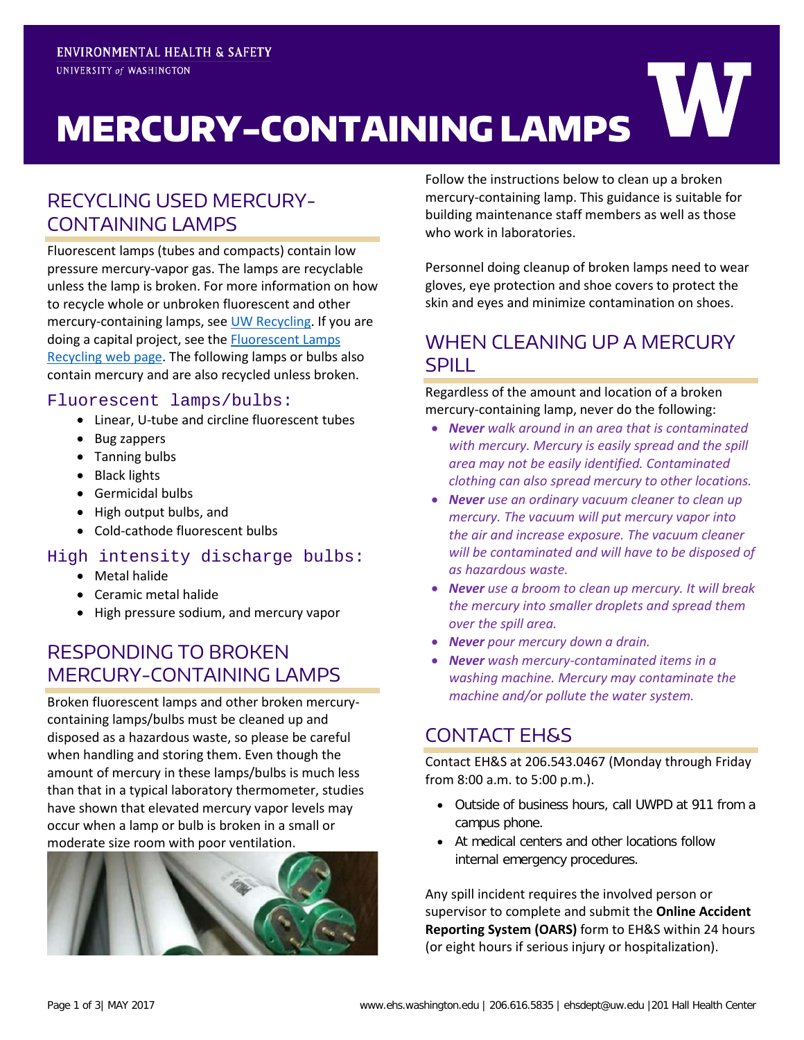# MERCURY-CONTAINING LAMPS

# RECYCLING USED MERCURY-CONTAINING LAMPS

Fluorescent lamps (tubes and compacts) contain low pressure mercury-vapor gas. The lamps are recyclable unless the lamp is broken. For more information on how to recycle whole or unbroken fluorescent and other mercury-containing lamps, see [UW Recycling.](http://www.washington.edu/facilities/building/recyclingandsolidwaste/procedures/fluorescent) If you are doing a capital project, see th[e Fluorescent Lamps](https://facilities.uw.edu/catalog/lamps)  [Recycling web page.](https://facilities.uw.edu/catalog/lamps) The following lamps or bulbs also contain mercury and are also recycled unless broken.

#### Fluorescent lamps/bulbs:

- Linear, U-tube and circline fluorescent tubes
- Bug zappers
- Tanning bulbs
- Black lights
- Germicidal bulbs
- High output bulbs, and
- Cold-cathode fluorescent bulbs

#### High intensity discharge bulbs:

- Metal halide
- Ceramic metal halide
- High pressure sodium, and mercury vapor

## RESPONDING TO BROKEN MERCURY-CONTAINING LAMPS

Broken fluorescent lamps and other broken mercurycontaining lamps/bulbs must be cleaned up and disposed as a hazardous waste, so please be careful when handling and storing them. Even though the amount of mercury in these lamps/bulbs is much less than that in a typical laboratory thermometer, studies have shown that elevated mercury vapor levels may occur when a lamp or bulb is broken in a small or moderate size room with poor ventilation.



Follow the instructions below to clean up a broken mercury-containing lamp. This guidance is suitable for building maintenance staff members as well as those who work in laboratories.

Personnel doing cleanup of broken lamps need to wear gloves, eye protection and shoe covers to protect the skin and eyes and minimize contamination on shoes.

## WHEN CLEANING UP A MERCURY SPILL

#### Regardless of the amount and location of a broken mercury-containing lamp, never do the following:

- *Never walk around in an area that is contaminated with mercury. Mercury is easily spread and the spill area may not be easily identified. Contaminated clothing can also spread mercury to other locations.*
- *Never use an ordinary vacuum cleaner to clean up mercury. The vacuum will put mercury vapor into the air and increase exposure. The vacuum cleaner will be contaminated and will have to be disposed of as hazardous waste.*
- *Never use a broom to clean up mercury. It will break the mercury into smaller droplets and spread them over the spill area.*
- *Never pour mercury down a drain.*
- *Never wash mercury-contaminated items in a washing machine. Mercury may contaminate the machine and/or pollute the water system.*

## CONTACT EH&S

Contact EH&S at 206.543.0467 (Monday through Friday from 8:00 a.m. to 5:00 p.m.).

- Outside of business hours, call UWPD at 911 from a campus phone.
- At medical centers and other locations follow internal emergency procedures.

Any spill incident requires the involved person or supervisor to complete and submit the **[Online Accident](http://www.ehs.washington.edu/ohsoars/index.shtm)  [Reporting System \(OARS\)](http://www.ehs.washington.edu/ohsoars/index.shtm)** form to EH&S within 24 hours (or eight hours if serious injury or hospitalization).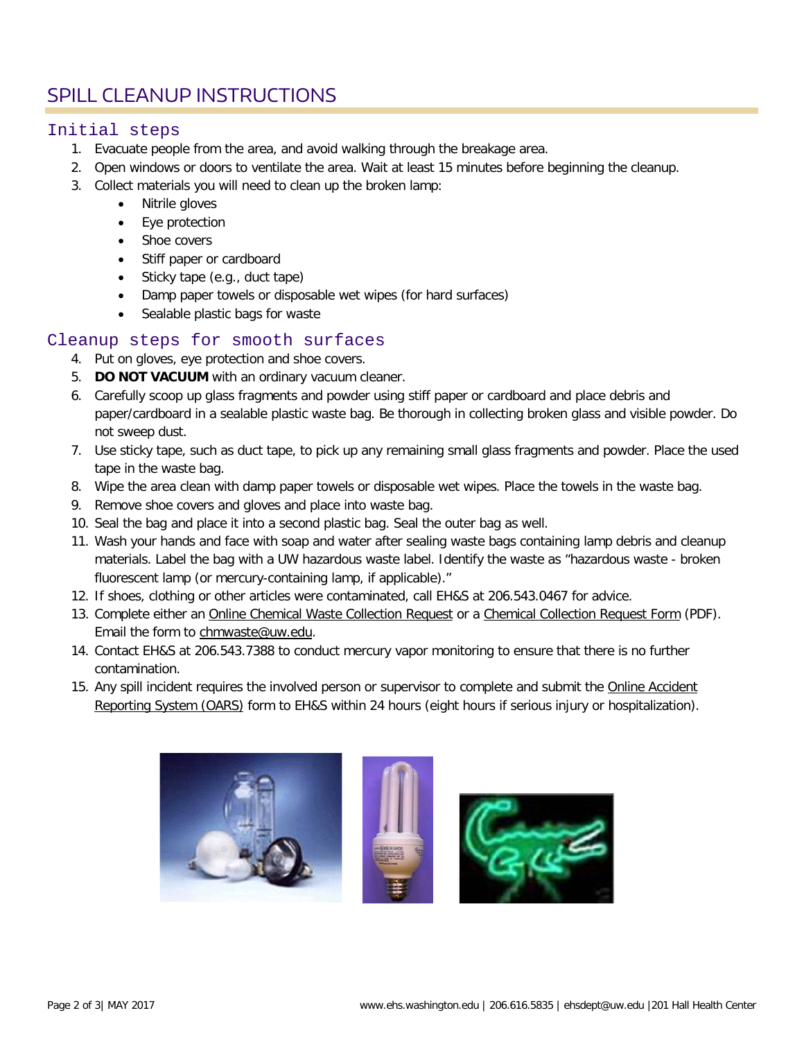# SPILL CLEANUP INSTRUCTIONS

#### Initial steps

- 1. Evacuate people from the area, and avoid walking through the breakage area.
- 2. Open windows or doors to ventilate the area. Wait at least 15 minutes before beginning the cleanup.
- 3. Collect materials you will need to clean up the broken lamp:
	- Nitrile gloves
	- Eye protection
	- Shoe covers
	- Stiff paper or cardboard
	- Sticky tape (e.g., duct tape)
	- Damp paper towels or disposable wet wipes (for hard surfaces)
	- Sealable plastic bags for waste

#### Cleanup steps for smooth surfaces

- 4. Put on gloves, eye protection and shoe covers.
- 5. **DO NOT VACUUM** with an ordinary vacuum cleaner.
- 6. Carefully scoop up glass fragments and powder using stiff paper or cardboard and place debris and paper/cardboard in a sealable plastic waste bag. Be thorough in collecting broken glass and visible powder. Do not sweep dust.
- 7. Use sticky tape, such as duct tape, to pick up any remaining small glass fragments and powder. Place the used tape in the waste bag.
- 8. Wipe the area clean with damp paper towels or disposable wet wipes. Place the towels in the waste bag.
- 9. Remove shoe covers and gloves and place into waste bag.
- 10. Seal the bag and place it into a second plastic bag. Seal the outer bag as well.
- 11. Wash your hands and face with soap and water after sealing waste bags containing lamp debris and cleanup materials. Label the bag with a UW hazardous waste label. Identify the waste as "hazardous waste - broken fluorescent lamp (or mercury-containing lamp, if applicable)."
- 12. If shoes, clothing or other articles were contaminated, call EH&S at 206.543.0467 for advice.
- 13. Complete either an [Online Chemical Waste Collection Request](https://depts.washington.edu/ehas/pubcookie/mychemwaste/client/index.php) or a [Chemical Collection Request Form](http://www.ehs.washington.edu/epowaste/chemwaste.shtm) (PDF). Email the form to [chmwaste@uw.edu.](mailto:chmwaste@uw.edu)
- 14. Contact EH&S at 206.543.7388 to conduct mercury vapor monitoring to ensure that there is no further contamination.
- 15. Any spill incident requires the involved person or supervisor to complete and submit the [Online Accident](http://www.ehs.washington.edu/ohsoars/index.shtm)  [Reporting System \(OARS\)](http://www.ehs.washington.edu/ohsoars/index.shtm) form to EH&S within 24 hours (eight hours if serious injury or hospitalization).